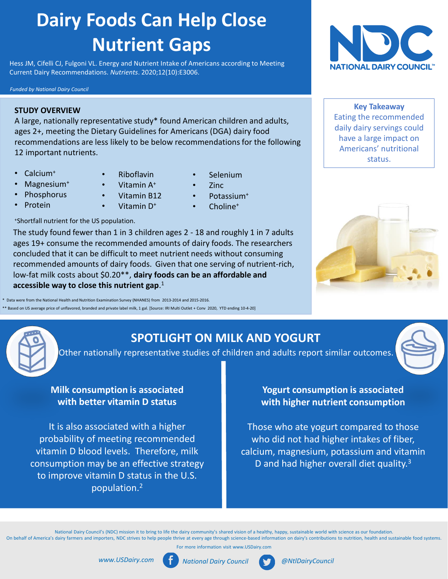# **Dairy Foods Can Help Close Nutrient Gaps**

Hess JM, Cifelli CJ, Fulgoni VL. Energy and Nutrient Intake of Americans according to Meeting Current Dairy Recommendations. *Nutrients*. 2020;12(10):E3006.

#### *Funded by National Dairy Council*

#### **STUDY OVERVIEW**

A large, nationally representative study\* found American children and adults, ages 2+, meeting the Dietary Guidelines for Americans (DGA) dairy food recommendations are less likely to be below recommendations for the following 12 important nutrients.

• Calcium<sup>+</sup>

Magnesium<sup>+</sup> **Phosphorus Protein** 

- Riboflavin
- Vitamin A<sup>+</sup>
	- Vitamin B12
	- Vitamin D<sup>+</sup>
- Zinc
	- Potassium<sup>+</sup>

• Selenium

- Choline<sup>+</sup>
- <sup>+</sup>Shortfall nutrient for the US population.

The study found fewer than 1 in 3 children ages 2 - 18 and roughly 1 in 7 adults ages 19+ consume the recommended amounts of dairy foods. The researchers concluded that it can be difficult to meet nutrient needs without consuming recommended amounts of dairy foods. Given that one serving of nutrient-rich, low-fat milk costs about \$0.20\*\*, **dairy foods can be an affordable and accessible way to close this nutrient gap**. 1

\* Data were from the National Health and Nutrition Examination Survey (NHANES) from 2013-2014 and 2015-2016. ed on US average price of unflavored, branded and private label milk, 1 gal. [Source: IRI Multi Outlet + Conv 2020, YTD ending 10-4-20]



**Key Takeaway**  Eating the recommended daily dairy servings could have a large impact on Americans' nutritional status.



# **SPOTLIGHT ON MILK AND YOGURT**

Other nationally representative studies of children and adults report similar outcomes.

### **Milk consumption is associated with better vitamin D status**

It is also associated with a higher probability of meeting recommended vitamin D blood levels. Therefore, milk consumption may be an effective strategy to improve vitamin D status in the U.S. population.<sup>2</sup>

### **Yogurt consumption is associated with higher nutrient consumption**

Those who ate yogurt compared to those who did not had higher intakes of fiber, calcium, magnesium, potassium and vitamin D and had higher overall diet quality.<sup>3</sup>

National Dairy Council's (NDC) mission it to bring to life the dairy community's shared vision of a healthy, happy, sustainable world with science as our foundation. On behalf of America's dairy farmers and importers, NDC strives to help people thrive at every age through science-based information on dairy's contributions to nutrition, health and sustainable food systems.

For more information visit www.USDairy.com





*www.USDairy.com National Dairy Council @NtlDairyCouncil*